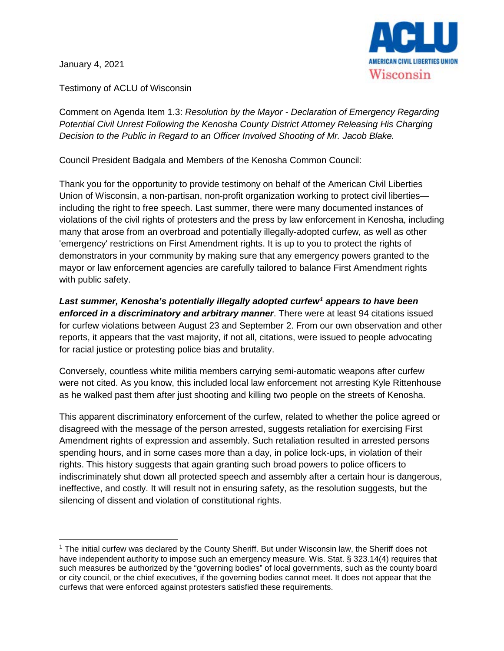January 4, 2021



Testimony of ACLU of Wisconsin

Comment on Agenda Item 1.3: *Resolution by the Mayor - Declaration of Emergency Regarding Potential Civil Unrest Following the Kenosha County District Attorney Releasing His Charging Decision to the Public in Regard to an Officer Involved Shooting of Mr. Jacob Blake.*

Council President Badgala and Members of the Kenosha Common Council:

Thank you for the opportunity to provide testimony on behalf of the American Civil Liberties Union of Wisconsin, a non-partisan, non-profit organization working to protect civil liberties including the right to free speech. Last summer, there were many documented instances of violations of the civil rights of protesters and the press by law enforcement in Kenosha, including many that arose from an overbroad and potentially illegally-adopted curfew, as well as other 'emergency' restrictions on First Amendment rights. It is up to you to protect the rights of demonstrators in your community by making sure that any emergency powers granted to the mayor or law enforcement agencies are carefully tailored to balance First Amendment rights with public safety.

*Last summer, Kenosha's potentially illegally adopted curfew[1](#page-0-0) appears to have been enforced in a discriminatory and arbitrary manner*. There were at least 94 citations issued for curfew violations between August 23 and September 2. From our own observation and other reports, it appears that the vast majority, if not all, citations, were issued to people advocating for racial justice or protesting police bias and brutality.

Conversely, countless white militia members carrying semi-automatic weapons after curfew were not cited. As you know, this included local law enforcement not arresting Kyle Rittenhouse as he walked past them after just shooting and killing two people on the streets of Kenosha.

This apparent discriminatory enforcement of the curfew, related to whether the police agreed or disagreed with the message of the person arrested, suggests retaliation for exercising First Amendment rights of expression and assembly. Such retaliation resulted in arrested persons spending hours, and in some cases more than a day, in police lock-ups, in violation of their rights. This history suggests that again granting such broad powers to police officers to indiscriminately shut down all protected speech and assembly after a certain hour is dangerous, ineffective, and costly. It will result not in ensuring safety, as the resolution suggests, but the silencing of dissent and violation of constitutional rights.

<span id="page-0-0"></span> $1$  The initial curfew was declared by the County Sheriff. But under Wisconsin law, the Sheriff does not have independent authority to impose such an emergency measure. Wis. Stat. § 323.14(4) requires that such measures be authorized by the "governing bodies" of local governments, such as the county board or city council, or the chief executives, if the governing bodies cannot meet. It does not appear that the curfews that were enforced against protesters satisfied these requirements.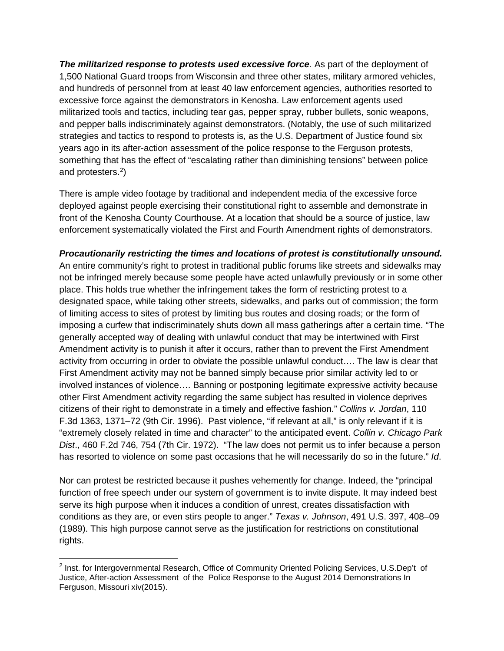*The militarized response to protests used excessive force*. As part of the deployment of 1,500 National Guard troops from Wisconsin and three other states, military armored vehicles, and hundreds of personnel from at least 40 law enforcement agencies, authorities resorted to excessive force against the demonstrators in Kenosha. Law enforcement agents used militarized tools and tactics, including tear gas, pepper spray, rubber bullets, sonic weapons, and pepper balls indiscriminately against demonstrators. (Notably, the use of such militarized strategies and tactics to respond to protests is, as the U.S. Department of Justice found six years ago in its after-action assessment of the police response to the Ferguson protests, something that has the effect of "escalating rather than diminishing tensions" between police and protesters.<sup>[2](#page-1-0)</sup>)

There is ample video footage by traditional and independent media of the excessive force deployed against people exercising their constitutional right to assemble and demonstrate in front of the Kenosha County Courthouse. At a location that should be a source of justice, law enforcement systematically violated the First and Fourth Amendment rights of demonstrators.

## *Procautionarily restricting the times and locations of protest is constitutionally unsound.*

An entire community's right to protest in traditional public forums like streets and sidewalks may not be infringed merely because some people have acted unlawfully previously or in some other place. This holds true whether the infringement takes the form of restricting protest to a designated space, while taking other streets, sidewalks, and parks out of commission; the form of limiting access to sites of protest by limiting bus routes and closing roads; or the form of imposing a curfew that indiscriminately shuts down all mass gatherings after a certain time. "The generally accepted way of dealing with unlawful conduct that may be intertwined with First Amendment activity is to punish it after it occurs, rather than to prevent the First Amendment activity from occurring in order to obviate the possible unlawful conduct…. The law is clear that First Amendment activity may not be banned simply because prior similar activity led to or involved instances of violence…. Banning or postponing legitimate expressive activity because other First Amendment activity regarding the same subject has resulted in violence deprives citizens of their right to demonstrate in a timely and effective fashion." *Collins v. Jordan*, 110 F.3d 1363, 1371–72 (9th Cir. 1996). Past violence, "if relevant at all," is only relevant if it is "extremely closely related in time and character" to the anticipated event. *Collin v. Chicago Park Dist*., 460 F.2d 746, 754 (7th Cir. 1972). "The law does not permit us to infer because a person has resorted to violence on some past occasions that he will necessarily do so in the future." *Id*.

Nor can protest be restricted because it pushes vehemently for change. Indeed, the "principal function of free speech under our system of government is to invite dispute. It may indeed best serve its high purpose when it induces a condition of unrest, creates dissatisfaction with conditions as they are, or even stirs people to anger." *Texas v. Johnson*, 491 U.S. 397, 408–09 (1989). This high purpose cannot serve as the justification for restrictions on constitutional rights.

<span id="page-1-0"></span> <sup>2</sup> Inst. for Intergovernmental Research, Office of Community Oriented Policing Services, U.S.Dep't of Justice, After-action Assessment of the Police Response to the August 2014 Demonstrations In Ferguson, Missouri xiv(2015).